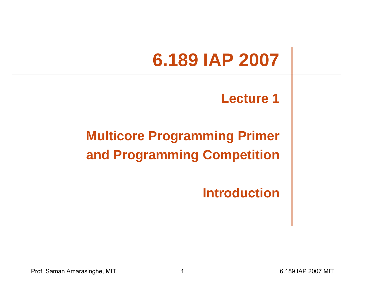# **6.189 IAP 2007**

#### **Lecture 1**

#### **Multicore Programming Primer and Programming Competition**

**Introduction**

Prof. Saman Amarasinghe, MIT. 1 6.189 IAP 2007 MIT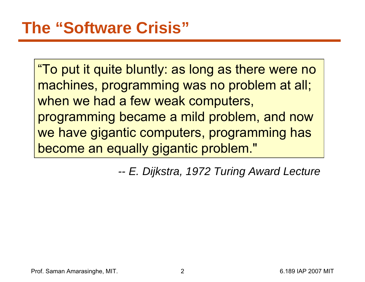"To put it quite bluntly: as long as there were no machines, programming was no problem at all; when we had a few weak computers, programming became a mild problem, and now we have gigantic computers, programming has become an equally gigantic problem."

> *-- E. Dijkstra, 1972 Turing Award Lecture*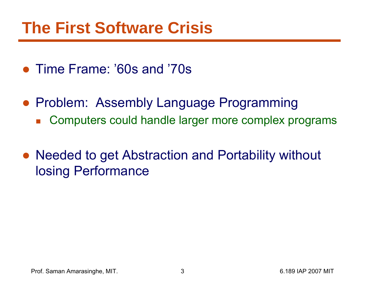## **The First Software Crisis**

- Time Frame: '60s and '70s
- Problem: Assembly Language Programming
	- $\mathcal{L}_{\mathcal{A}}$ Computers could handle larger more complex programs
- Needed to get Abstraction and Portability without losing Performance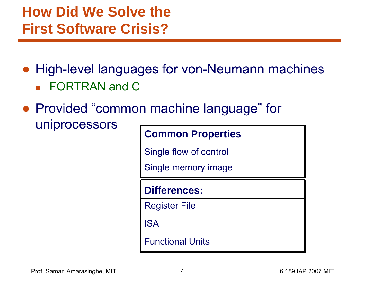#### **How Did We Solve the First Software Crisis?**

- High-level languages for von-Neumann machines **FORTRAN and C**
- Provided "common machine language" for uniprocessors

|                         | <b>Common Properties</b> |  |  |  |  |
|-------------------------|--------------------------|--|--|--|--|
| Single flow of control  |                          |  |  |  |  |
| Single memory image     |                          |  |  |  |  |
| <b>Differences:</b>     |                          |  |  |  |  |
| <b>Register File</b>    |                          |  |  |  |  |
| <b>ISA</b>              |                          |  |  |  |  |
| <b>Functional Units</b> |                          |  |  |  |  |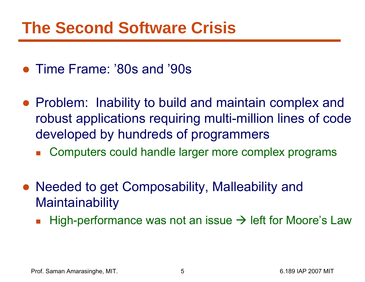## **The Second Software Crisis**

- Time Frame: '80s and '90s
- Problem: Inability to build and maintain complex and robust applications requiring multi-million lines of code developed by hundreds of programmers
	- $\overline{\mathbb{R}}$ Computers could handle larger more complex programs
- Needed to get Composability, Malleability and **Maintainability** 
	- $\overline{\mathcal{A}}$ **High-performance was not an issue**  $\rightarrow$  **left for Moore's Law**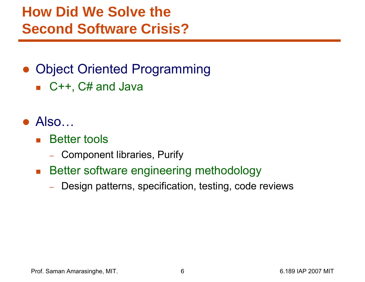#### **How Did We Solve the Second Software Crisis?**

#### ● Object Oriented Programming

■ C++, C# and Java

#### $\bullet$  Also...

- $\mathcal{L}(\mathcal{A})$  Better tools
	- Component libraries, Purify
- $\mathcal{L}^{\text{max}}_{\text{max}}$  Better software engineering methodology
	- Design patterns, specification, testing, code reviews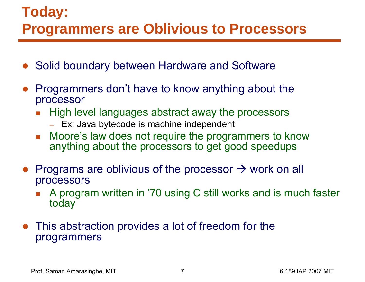#### **Today: Programmers are Oblivious to Processors**

- ●Solid boundary between Hardware and Software
- $\bullet$  Programmers don't have to know anything about the processor
	- F High level languages abstract away the processors
		- Ex: Java bytecode is machine independent
	- F Moore's law does not require the programmers to know anything about the processors to get good speedups
- Programs are oblivious of the processor  $\rightarrow$  work on all processors
	- F. A program written in '70 using C still works and is much faster today
- $\bullet$  This abstraction provides a lot of freedom for the programmers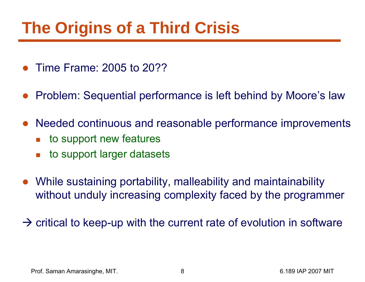# **The Origins of a Third Crisis**

- $\bullet$ Time Frame: 2005 to 20??
- ●Problem: Sequential performance is left behind by Moore's law
- $\bullet$  Needed continuous and reasonable performance improvements
	- F. to support new features
	- F. to support larger datasets
- $\bullet$  While sustaining portability, malleability and maintainability without unduly increasing complexity faced by the programmer

 $\rightarrow$  critical to keep-up with the current rate of evolution in software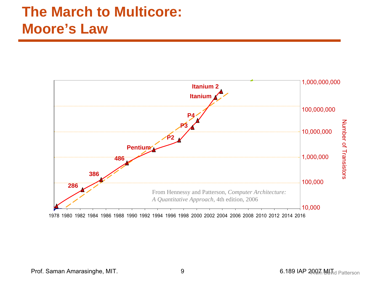#### **The March to Multicore: Moore's Law**

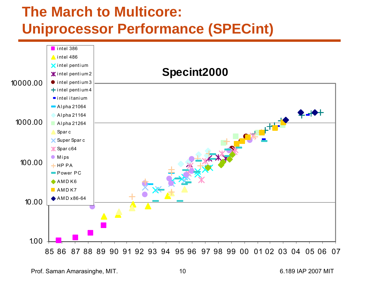#### **The March to Multicore: Uniprocessor Performance (SPECint)**

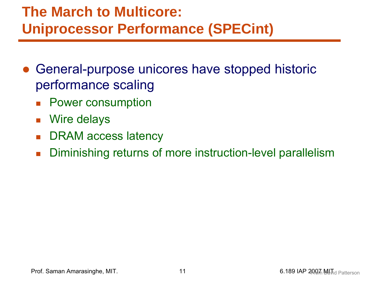#### **The March to Multicore: Uniprocessor Performance (SPECint)**

- ● General-purpose unicores have stopped historic performance scaling
	- $\mathcal{L}(\mathcal{A})$ Power consumption
	- $\mathcal{L}_{\mathcal{A}}$ Wire delays
	- $\mathcal{L}^{\mathcal{L}}$ DRAM access latency
	- $\overline{\mathcal{L}}$ Diminishing returns of more instruction-level parallelism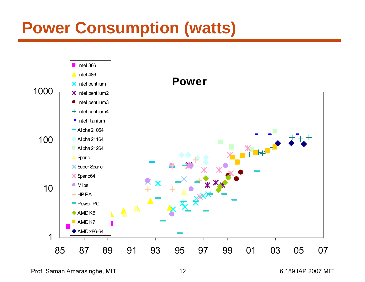# **Power Consumption (watts)**



Prof. Saman Amarasinghe, MIT. 12 12 6.189 IAP 2007 MIT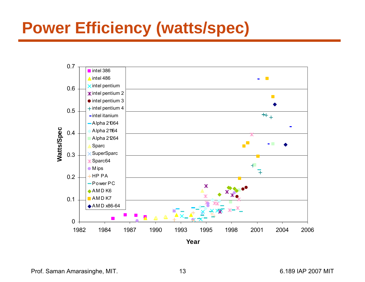# **Power Efficiency (watts/spec)**



Prof. Saman Amarasinghe, MIT. 13 13 13 6.189 IAP 2007 MIT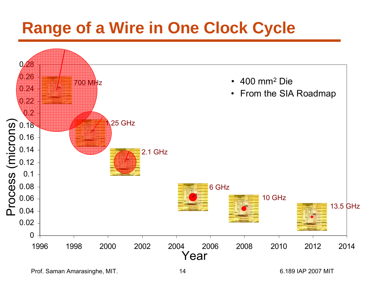# **Range of a Wire in One Clock Cycle**



Prof. Saman Amarasinghe, MIT. 14 14 6.189 IAP 2007 MIT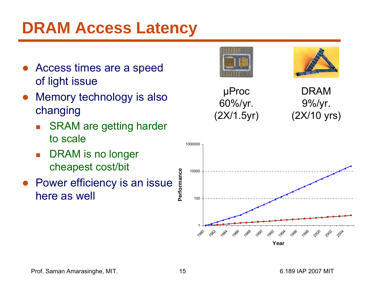# **DRAM Access Latency**

- $\bullet$  Access times are a speed of light issue
- Memory technology is also changing
	- SRAM are getting harder to scale
	- F DRAM is no longer cheapest cost/bit
- Power efficiency is an issue here as well





DRAM9%/yr. (2X/10 yrs)

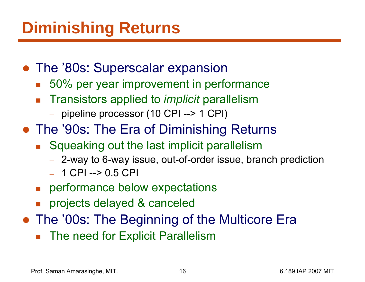# **Diminishing Returns**

- The '80s: Superscalar expansion
	- 50% per year improvement in performance
	- Transistors applied to *implicit* parallelism
		- pipeline processor (10 CPI --> 1 CPI)
- The '90s: The Era of Diminishing Returns
	- Squeaking out the last implicit parallelism
		- –2-way to 6-way issue, out-of-order issue, branch prediction
		- 1 CPI --> 0.5 CPI
	- **n** performance below expectations
	- **projects delayed & canceled**
- The '00s: The Beginning of the Multicore Era
	- b. The need for Explicit Parallelism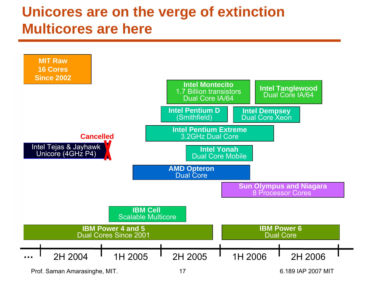#### **Unicores are on the verge of extinction Multicores are here**



Prof. Saman Amarasinghe, MIT. 17 17 17 17 17 16.189 IAP 2007 MIT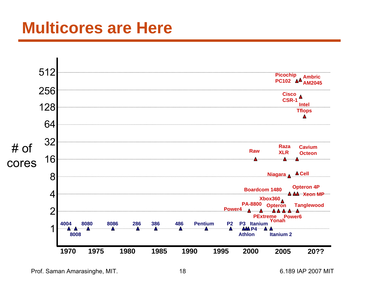#### **Multicores are Here**



Prof. Saman Amarasinghe, MIT. 18 6.189 IAP 2007 MIT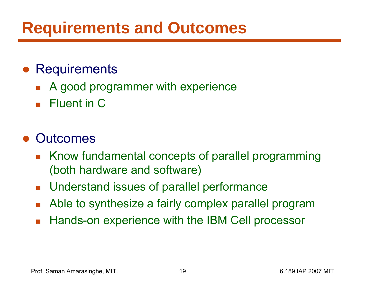# **Requirements and Outcomes**

#### ● Requirements

- $\overline{\mathbb{R}}$ A good programmer with experience
- **Fluent in C**

#### $\bullet$ **Outcomes**

- Know fundamental concepts of parallel programming (both hardware and software)
- $\mathcal{L}_{\mathcal{A}}$ Understand issues of parallel performance
- $\mathcal{L}_{\mathcal{A}}$ Able to synthesize a fairly complex parallel program
- $\overline{\mathcal{L}}$ Hands-on experience with the IBM Cell processor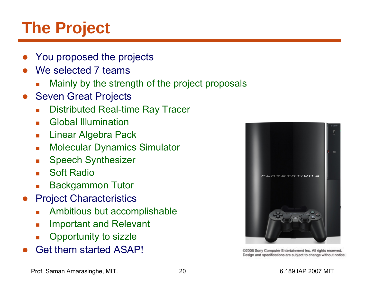# **The Project**

- ●You proposed the projects
- ●We selected 7 teams
	- L Mainly by the strength of the project proposals
- ● Seven Great Projects
	- $\overline{\mathcal{A}}$ Distributed Real-time Ray Tracer
	- **Burge Clobal Illumination**
	- $\overline{\phantom{a}}$ Linear Algebra Pack
	- $\overline{\phantom{a}}$ Molecular Dynamics Simulator
	- $\overline{\mathcal{M}}$ Speech Synthesizer
	- **College** Soft Radio
	- Backgammon Tutor
- ● Project Characteristics
	- Г Ambitious but accomplishable
	- $\overline{\mathcal{L}}$ Important and Relevant
	- L Opportunity to sizzle
- $\bullet$ Get them started ASAP!



@2006 Sony Computer Entertainment Inc. All rights reserved. Design and specifications are subject to change without notice.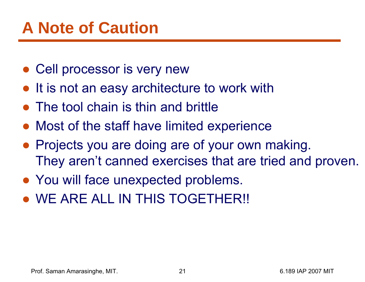# **A Note of Caution**

- Cell processor is very new
- It is not an easy architecture to work with
- The tool chain is thin and brittle
- Most of the staff have limited experience
- Projects you are doing are of your own making. They aren't canned exercises that are tried and proven.
- You will face unexpected problems.
- **.** WE ARE ALL IN THIS TOGETHER!!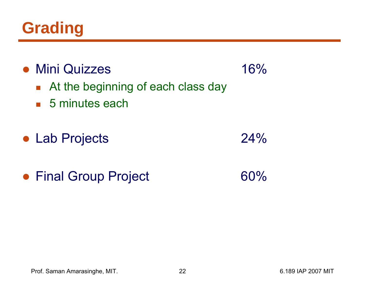

| • Mini Quizzes<br>At the beginning of each class day<br>$\blacksquare$ 5 minutes each | 16% |
|---------------------------------------------------------------------------------------|-----|
| • Lab Projects                                                                        | 24% |
| • Final Group Project                                                                 | 60% |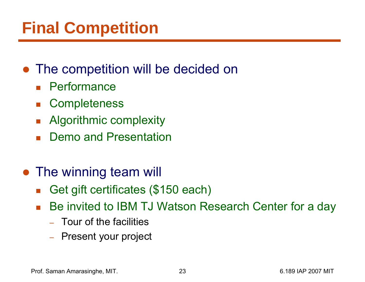# **Final Competition**

#### ● The competition will be decided on

- $\overline{\mathbb{R}}$ **Performance**
- $\mathcal{L}_{\mathcal{A}}$ **Completeness**
- b. Algorithmic complexity
- $\mathcal{L}_{\mathcal{A}}$ Demo and Presentation

#### • The winning team will

- $\mathcal{C}^{\mathcal{A}}$ Get gift certificates (\$150 each)
- $\overline{\mathbb{R}}$  Be invited to IBM TJ Watson Research Center for a day
	- Tour of the facilities
	- –Present your project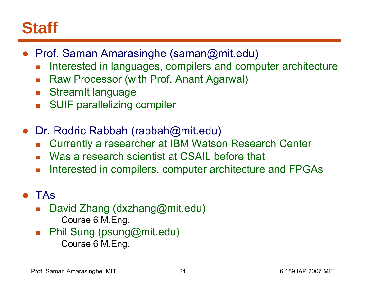## **Staff**

- Prof. Saman Amarasinghe (saman@mit.edu)
	- F. Interested in languages, compilers and computer architecture
	- $\mathcal{L}^{\text{max}}$ Raw Processor (with Prof. Anant Agarwal)
	- **StreamIt language**
	- F SUIF parallelizing compiler
- $\bullet$  Dr. Rodric Rabbah (rabbah@mit.edu)
	- $\mathcal{L}^{\text{max}}$ Currently a researcher at IBM Watson Research Center
	- Was a research scientist at CSAIL before that
	- $\mathcal{L}^{\mathcal{L}}$ Interested in compilers, computer architecture and FPGAs

#### ● TAs

- $\mathcal{L}_{\mathcal{A}}$  David Zhang (dxzhang@mit.edu)
	- Course 6 M.Eng.
- $\mathcal{L}_{\text{max}}$  Phil Sung (psung@mit.edu)
	- Course 6 M.Eng.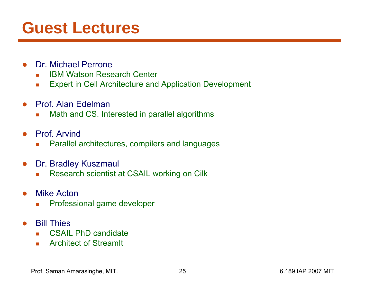## **Guest Lectures**

- ● Dr. Michael Perrone
	- $\overline{\phantom{a}}$ IBM Watson Research Center
	- $\mathcal{L}_{\mathcal{A}}$ Expert in Cell Architecture and Application Development
- ● Prof. Alan Edelman
	- $\Box$ Math and CS. Interested in parallel algorithms
- ● Prof. Arvind
	- $\overline{\phantom{a}}$ Parallel architectures, compilers and languages
- $\bullet$  Dr. Bradley Kuszmaul
	- $\mathcal{L}_{\mathcal{A}}$ Research scientist at CSAIL working on Cilk
- ● Mike Acton
	- T. Professional game developer
- ● Bill Thies
	- $\overline{\phantom{a}}$ CSAIL PhD candidate
	- $\mathcal{L}_{\text{max}}$ Architect of StreamIt

Prof. Saman Amarasinghe, MIT. 25 25 6.189 IAP 2007 MIT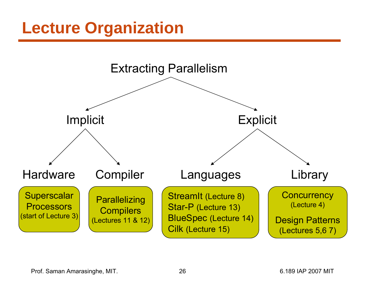## **Lecture Organization**